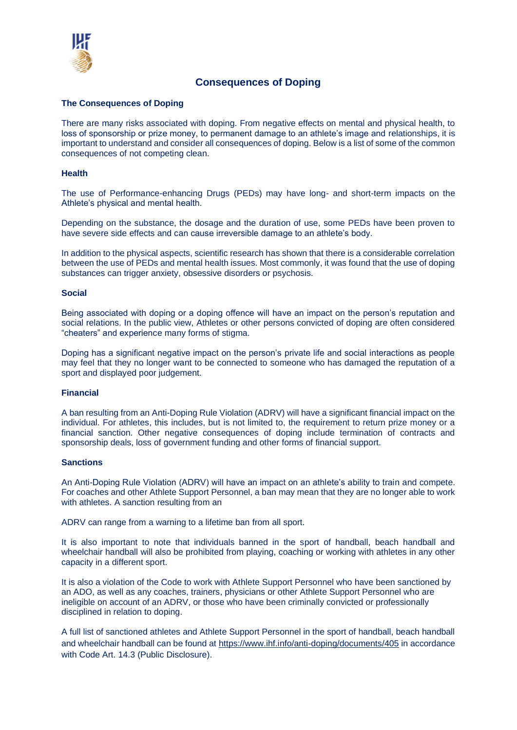

# **Consequences of Doping**

# **The Consequences of Doping**

There are many risks associated with doping. From negative effects on mental and physical health, to loss of sponsorship or prize money, to permanent damage to an athlete's image and relationships, it is important to understand and consider all consequences of doping. Below is a list of some of the common consequences of not competing clean.

#### **Health**

The use of Performance-enhancing Drugs (PEDs) may have long- and short-term impacts on the Athlete's physical and mental health.

Depending on the substance, the dosage and the duration of use, some PEDs have been proven to have severe side effects and can cause irreversible damage to an athlete's body.

In addition to the physical aspects, scientific research has shown that there is a considerable correlation between the use of PEDs and mental health issues. Most commonly, it was found that the use of doping substances can trigger anxiety, obsessive disorders or psychosis.

#### **Social**

Being associated with doping or a doping offence will have an impact on the person's reputation and social relations. In the public view, Athletes or other persons convicted of doping are often considered "cheaters" and experience many forms of stigma.

Doping has a significant negative impact on the person's private life and social interactions as people may feel that they no longer want to be connected to someone who has damaged the reputation of a sport and displayed poor judgement.

# **Financial**

A ban resulting from an Anti-Doping Rule Violation (ADRV) will have a significant financial impact on the individual. For athletes, this includes, but is not limited to, the requirement to return prize money or a financial sanction. Other negative consequences of doping include termination of contracts and sponsorship deals, loss of government funding and other forms of financial support.

# **Sanctions**

An Anti-Doping Rule Violation (ADRV) will have an impact on an athlete's ability to train and compete. For coaches and other Athlete Support Personnel, a ban may mean that they are no longer able to work with athletes. A sanction resulting from an

ADRV can range from a warning to a lifetime ban from all sport.

It is also important to note that individuals banned in the sport of handball, beach handball and wheelchair handball will also be prohibited from playing, coaching or working with athletes in any other capacity in a different sport.

It is also a violation of the Code to work with Athlete Support Personnel who have been sanctioned by an ADO, as well as any coaches, trainers, physicians or other Athlete Support Personnel who are ineligible on account of an ADRV, or those who have been criminally convicted or professionally disciplined in relation to doping.

A full list of sanctioned athletes and Athlete Support Personnel in the sport of handball, beach handball and wheelchair handball can be found at<https://www.ihf.info/anti-doping/documents/405> in accordance with Code Art. 14.3 (Public Disclosure).